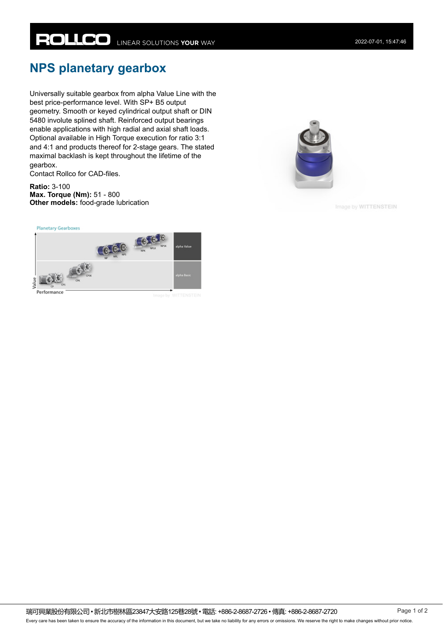## **NPS planetary gearbox**

Universally suitable gearbox from alpha Value Line with the best price-performance level. With SP+ B5 output geometry. Smooth or keyed cylindrical output shaft or DIN 5480 involute splined shaft. Reinforced output bearings enable applications with high radial and axial shaft loads. Optional available in High Torque execution for ratio 3:1 and 4:1 and products thereof for 2-stage gears. The stated maximal backlash is kept throughout the lifetime of the gearbox.

Contact Rollco for CAD-files.

**Ratio:** 3-100 **Max. Torque (Nm):** 51 - 800 **Other models:** food-grade lubrication

**Planetary Gearboxes** 





Image by WITTENSTEIN